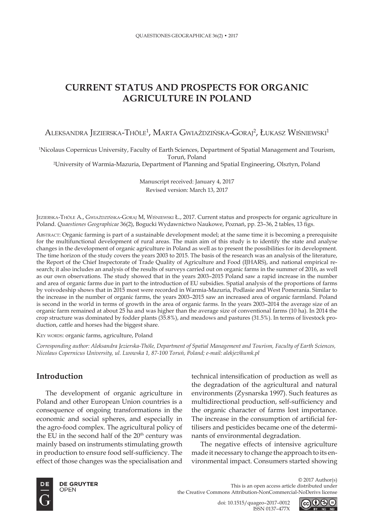# **CURRENT STATUS AND PROSPECTS FOR ORGANIC AGRICULTURE IN POLAND**

Aleksandra Jezierska-Thöle<sup>1</sup>, Marta Gwiaździńska-Goraj<sup>2</sup>, Łukasz Wiśniewski<sup>1</sup>

1 Nicolaus Copernicus University, Faculty of Earth Sciences, Department of Spatial Management and Tourism, Toruń, Poland

2 University of Warmia-Mazuria, Department of Planning and Spatial Engineering, Olsztyn, Poland

Manuscript received: January 4, 2017 Revised version: March 13, 2017

Jezierska-Thöle A., Gwiaździńska-Goraj M, Wiśniewski Ł., 2017. Current status and prospects for organic agriculture in Poland. *Quaestiones Geographicae* 36(2), Bogucki Wydawnictwo Naukowe, Poznań, pp. 23–36, 2 tables, 13 figs.

Abstract: Organic farming is part of a sustainable development model; at the same time it is becoming a prerequisite for the multifunctional development of rural areas. The main aim of this study is to identify the state and analyse changes in the development of organic agriculture in Poland as well as to present the possibilities for its development. The time horizon of the study covers the years 2003 to 2015. The basis of the research was an analysis of the literature, the Report of the Chief Inspectorate of Trade Quality of Agriculture and Food (IJHARS), and national empirical research; it also includes an analysis of the results of surveys carried out on organic farms in the summer of 2016, as well as our own observations. The study showed that in the years 2003–2015 Poland saw a rapid increase in the number and area of organic farms due in part to the introduction of EU subsidies. Spatial analysis of the proportions of farms by voivodeship shows that in 2015 most were recorded in Warmia-Mazuria, Podlasie and West Pomerania. Similar to the increase in the number of organic farms, the years 2003–2015 saw an increased area of organic farmland. Poland is second in the world in terms of growth in the area of organic farms. In the years 2003–2014 the average size of an organic farm remained at about 25 ha and was higher than the average size of conventional farms (10 ha). In 2014 the crop structure was dominated by fodder plants (35.8%), and meadows and pastures (31.5%). In terms of livestock production, cattle and horses had the biggest share.

KEY WORDS: organic farms, agriculture, Poland

*Corresponding author: Aleksandra Jezierska-Thöle, Department of Spatial Management and Tourism, Faculty of Earth Sciences, Nicolaus Copernicus University, ul. Lwowska 1, 87-100 Toruń, Poland; e-mail: alekjez@umk.pl* 

## **Introduction**

The development of organic agriculture in Poland and other European Union countries is a consequence of ongoing transformations in the economic and social spheres, and especially in the agro-food complex. The agricultural policy of the EU in the second half of the  $20<sup>th</sup>$  century was mainly based on instruments stimulating growth in production to ensure food self-sufficiency. The effect of those changes was the specialisation and

technical intensification of production as well as the degradation of the agricultural and natural environments (Zysnarska 1997). Such features as multidirectional production, self-sufficiency and the organic character of farms lost importance. The increase in the consumption of artificial fertilisers and pesticides became one of the determinants of environmental degradation.

The negative effects of intensive agriculture made it necessary to change the approach to its environmental impact. Consumers started showing



© 2017 Author(s) This is an open access article distributed under the Creative Commons Attribution-NonCommercial-NoDerivs license

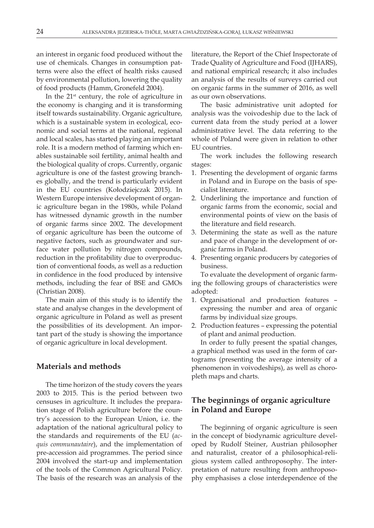an interest in organic food produced without the use of chemicals. Changes in consumption patterns were also the effect of health risks caused by environmental pollution, lowering the quality of food products (Hamm, Gronefeld 2004).

In the  $21<sup>st</sup>$  century, the role of agriculture in the economy is changing and it is transforming itself towards sustainability. Organic agriculture, which is a sustainable system in ecological, economic and social terms at the national, regional and local scales, has started playing an important role. It is a modern method of farming which enables sustainable soil fertility, animal health and the biological quality of crops. Currently, organic agriculture is one of the fastest growing branches globally, and the trend is particularly evident in the EU countries (Kołodziejczak 2015). In Western Europe intensive development of organic agriculture began in the 1980s, while Poland has witnessed dynamic growth in the number of organic farms since 2002. The development of organic agriculture has been the outcome of negative factors, such as groundwater and surface water pollution by nitrogen compounds, reduction in the profitability due to overproduction of conventional foods, as well as a reduction in confidence in the food produced by intensive methods, including the fear of BSE and GMOs (Christian 2008).

The main aim of this study is to identify the state and analyse changes in the development of organic agriculture in Poland as well as present the possibilities of its development. An important part of the study is showing the importance of organic agriculture in local development.

#### **Materials and methods**

The time horizon of the study covers the years 2003 to 2015. This is the period between two censuses in agriculture. It includes the preparation stage of Polish agriculture before the country's accession to the European Union, i.e. the adaptation of the national agricultural policy to the standards and requirements of the EU (*acquis communautaire*), and the implementation of pre-accession aid programmes. The period since 2004 involved the start-up and implementation of the tools of the Common Agricultural Policy. The basis of the research was an analysis of the

literature, the Report of the Chief Inspectorate of Trade Quality of Agriculture and Food (IJHARS), and national empirical research; it also includes an analysis of the results of surveys carried out on organic farms in the summer of 2016, as well as our own observations.

The basic administrative unit adopted for analysis was the voivodeship due to the lack of current data from the study period at a lower administrative level. The data referring to the whole of Poland were given in relation to other EU countries.

The work includes the following research stages:

- 1. Presenting the development of organic farms in Poland and in Europe on the basis of specialist literature.
- 2. Underlining the importance and function of organic farms from the economic, social and environmental points of view on the basis of the literature and field research.
- 3. Determining the state as well as the nature and pace of change in the development of organic farms in Poland.
- 4. Presenting organic producers by categories of business.

To evaluate the development of organic farming the following groups of characteristics were adopted:

- 1. Organisational and production features expressing the number and area of organic farms by individual size groups.
- 2. Production features expressing the potential of plant and animal production.

In order to fully present the spatial changes, a graphical method was used in the form of cartograms (presenting the average intensity of a phenomenon in voivodeships), as well as choropleth maps and charts.

## **The beginnings of organic agriculture in Poland and Europe**

The beginning of organic agriculture is seen in the concept of biodynamic agriculture developed by Rudolf Steiner, Austrian philosopher and naturalist, creator of a philosophical-religious system called anthroposophy. The interpretation of nature resulting from anthroposophy emphasises a close interdependence of the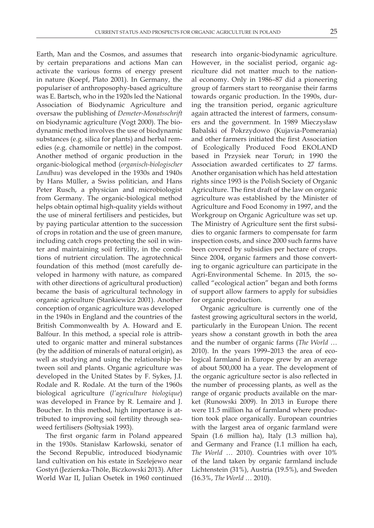Earth, Man and the Cosmos, and assumes that by certain preparations and actions Man can activate the various forms of energy present in nature (Koepf, Plato 2001). In Germany, the populariser of anthroposophy-based agriculture was E. Bartsch, who in the 1920s led the National Association of Biodynamic Agriculture and oversaw the publishing of *Demeter-Monatsschrift* on biodynamic agriculture (Vogt 2000). The biodynamic method involves the use of biodynamic substances (e.g. silica for plants) and herbal remedies (e.g. chamomile or nettle) in the compost. Another method of organic production in the organic-biological method (*organisch-biologischer Landbau*) was developed in the 1930s and 1940s by Hans Müller, a Swiss politician, and Hans Peter Rusch, a physician and microbiologist from Germany. The organic-biological method helps obtain optimal high-quality yields without the use of mineral fertilisers and pesticides, but by paying particular attention to the succession of crops in rotation and the use of green manure, including catch crops protecting the soil in winter and maintaining soil fertility, in the conditions of nutrient circulation. The agrotechnical foundation of this method (most carefully developed in harmony with nature, as compared with other directions of agricultural production) became the basis of agricultural technology in organic agriculture (Stankiewicz 2001). Another conception of organic agriculture was developed in the 1940s in England and the countries of the British Commonwealth by A. Howard and E. Balfour. In this method, a special role is attributed to organic matter and mineral substances (by the addition of minerals of natural origin), as well as studying and using the relationship between soil and plants. Organic agriculture was developed in the United States by F. Sykes, J.I. Rodale and R. Rodale. At the turn of the 1960s biological agriculture (*l'agriculture biologique*) was developed in France by R. Lemaire and J. Boucher. In this method, high importance is attributed to improving soil fertility through seaweed fertilisers (Sołtysiak 1993).

The first organic farm in Poland appeared in the 1930s. Stanisław Karłowski, senator of the Second Republic, introduced biodynamic land cultivation on his estate in Szelejewo near Gostyń (Jezierska-Thöle, Biczkowski 2013). After World War II, Julian Osetek in 1960 continued

research into organic-biodynamic agriculture. However, in the socialist period, organic agriculture did not matter much to the national economy. Only in 1986–87 did a pioneering group of farmers start to reorganise their farms towards organic production. In the 1990s, during the transition period, organic agriculture again attracted the interest of farmers, consumers and the government. In 1989 Mieczysław Babalski of Pokrzydowo (Kujavia-Pomerania) and other farmers initiated the first Association of Ecologically Produced Food EKOLAND based in Przysiek near Toruń; in 1990 the Association awarded certificates to 27 farms. Another organisation which has held attestation rights since 1993 is the Polish Society of Organic Agriculture. The first draft of the law on organic agriculture was established by the Minister of Agriculture and Food Economy in 1997, and the Workgroup on Organic Agriculture was set up. The Ministry of Agriculture sent the first subsidies to organic farmers to compensate for farm inspection costs, and since 2000 such farms have been covered by subsidies per hectare of crops. Since 2004, organic farmers and those converting to organic agriculture can participate in the Agri-Environmental Scheme. In 2015, the socalled "ecological action" began and both forms of support allow farmers to apply for subsidies for organic production.

Organic agriculture is currently one of the fastest growing agricultural sectors in the world, particularly in the European Union. The recent years show a constant growth in both the area and the number of organic farms (*The World* … 2010). In the years 1999–2013 the area of ecological farmland in Europe grew by an average of about 500,000 ha a year. The development of the organic agriculture sector is also reflected in the number of processing plants, as well as the range of organic products available on the market (Runowski 2009). In 2013 in Europe there were 11.5 million ha of farmland where production took place organically. European countries with the largest area of organic farmland were Spain (1.6 million ha), Italy (1.3 million ha), and Germany and France (1.1 million ha each, *The World* … 2010). Countries with over 10% of the land taken by organic farmland include Lichtenstein (31%), Austria (19.5%), and Sweden (16.3%, *The World* … 2010).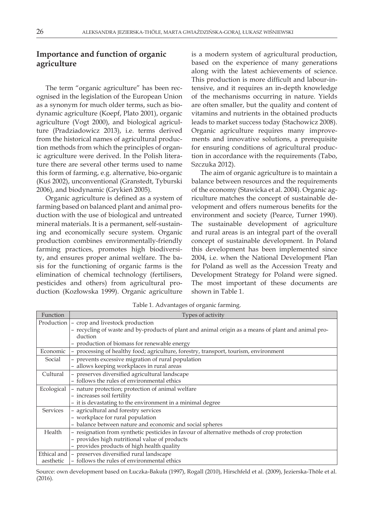## **Importance and function of organic agriculture**

The term "organic agriculture" has been recognised in the legislation of the European Union as a synonym for much older terms, such as biodynamic agriculture (Koepf, Plato 2001), organic agriculture (Vogt 2000), and biological agriculture (Pradziadowicz 2013), i.e. terms derived from the historical names of agricultural production methods from which the principles of organic agriculture were derived. In the Polish literature there are several other terms used to name this form of farming, e.g. alternative, bio-organic (Kuś 2002), unconventional (Granstedt, Tyburski 2006), and biodynamic (Grykień 2005).

Organic agriculture is defined as a system of farming based on balanced plant and animal production with the use of biological and untreated mineral materials. It is a permanent, self-sustaining and economically secure system. Organic production combines environmentally-friendly farming practices, promotes high biodiversity, and ensures proper animal welfare. The basis for the functioning of organic farms is the elimination of chemical technology (fertilisers, pesticides and others) from agricultural production (Kozłowska 1999). Organic agriculture

is a modern system of agricultural production, based on the experience of many generations along with the latest achievements of science. This production is more difficult and labour-intensive, and it requires an in-depth knowledge of the mechanisms occurring in nature. Yields are often smaller, but the quality and content of vitamins and nutrients in the obtained products leads to market success today (Stachowicz 2008). Organic agriculture requires many improvements and innovative solutions, a prerequisite for ensuring conditions of agricultural production in accordance with the requirements (Tabo, Szczuka 2012).

The aim of organic agriculture is to maintain a balance between resources and the requirements of the economy (Stawicka et al. 2004). Organic agriculture matches the concept of sustainable development and offers numerous benefits for the environment and society (Pearce, Turner 1990). The sustainable development of agriculture and rural areas is an integral part of the overall concept of sustainable development. In Poland this development has been implemented since 2004, i.e. when the National Development Plan for Poland as well as the Accession Treaty and Development Strategy for Poland were signed. The most important of these documents are shown in Table 1.

| Function        | Types of activity                                                                                   |  |  |  |  |  |
|-----------------|-----------------------------------------------------------------------------------------------------|--|--|--|--|--|
| Production      | - crop and livestock production                                                                     |  |  |  |  |  |
|                 | - recycling of waste and by-products of plant and animal origin as a means of plant and animal pro- |  |  |  |  |  |
|                 | duction                                                                                             |  |  |  |  |  |
|                 | - production of biomass for renewable energy                                                        |  |  |  |  |  |
| Economic        | - processing of healthy food; agriculture, forestry, transport, tourism, environment                |  |  |  |  |  |
| Social          | - prevents excessive migration of rural population                                                  |  |  |  |  |  |
|                 | - allows keeping workplaces in rural areas                                                          |  |  |  |  |  |
| Cultural        | - preserves diversified agricultural landscape                                                      |  |  |  |  |  |
|                 | - follows the rules of environmental ethics                                                         |  |  |  |  |  |
| Ecological      | - nature protection; protection of animal welfare                                                   |  |  |  |  |  |
|                 | - increases soil fertility                                                                          |  |  |  |  |  |
|                 | - it is devastating to the environment in a minimal degree                                          |  |  |  |  |  |
| <b>Services</b> | - agricultural and forestry services                                                                |  |  |  |  |  |
|                 | - workplace for rural population                                                                    |  |  |  |  |  |
|                 | - balance between nature and economic and social spheres                                            |  |  |  |  |  |
| Health          | - resignation from synthetic pesticides in favour of alternative methods of crop protection         |  |  |  |  |  |
|                 | - provides high nutritional value of products                                                       |  |  |  |  |  |
|                 | - provides products of high health quality                                                          |  |  |  |  |  |
| Ethical and     | - preserves diversified rural landscape                                                             |  |  |  |  |  |
| aesthetic       | - follows the rules of environmental ethics                                                         |  |  |  |  |  |

Table 1. Advantages of organic farming.

Source: own development based on Łuczka-Bakuła (1997), Rogall (2010), Hirschfeld et al. (2009), Jezierska-Thöle et al. (2016).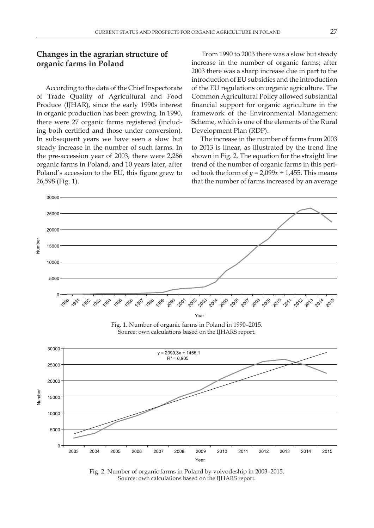## **Changes in the agrarian structure of organic farms in Poland**

According to the data of the Chief Inspectorate of Trade Quality of Agricultural and Food Produce (IJHAR), since the early 1990s interest in organic production has been growing. In 1990, there were 27 organic farms registered (including both certified and those under conversion). In subsequent years we have seen a slow but steady increase in the number of such farms. In the pre-accession year of 2003, there were 2,286 organic farms in Poland, and 10 years later, after Poland's accession to the EU, this figure grew to 26,598 (Fig. 1).

 From 1990 to 2003 there was a slow but steady increase in the number of organic farms; after 2003 there was a sharp increase due in part to the introduction of EU subsidies and the introduction of the EU regulations on organic agriculture. The Common Agricultural Policy allowed substantial financial support for organic agriculture in the framework of the Environmental Management Scheme, which is one of the elements of the Rural Development Plan (RDP).

The increase in the number of farms from 2003 to 2013 is linear, as illustrated by the trend line shown in Fig. 2. The equation for the straight line trend of the number of organic farms in this period took the form of  $y = 2,099x + 1,455$ . This means that the number of farms increased by an average



Fig. 1. Number of organic farms in Poland in 1990–2015. Source: own calculations based on the IJHARS report.



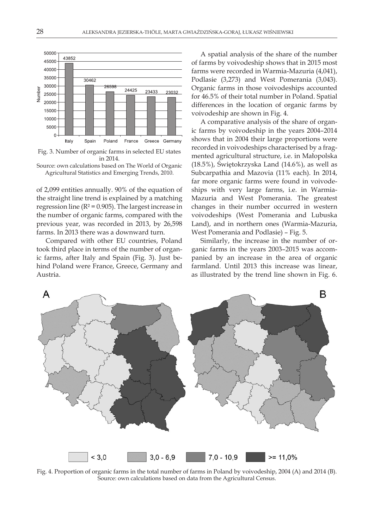

Fig. 3. Number of organic farms in selected EU states in 2014.

Source: own calculations based on The World of Organic Agricultural Statistics and Emerging Trends, 2010.

of 2,099 entities annually. 90% of the equation of the straight line trend is explained by a matching regression line ( $R^2$  = 0.905). The largest increase in the number of organic farms, compared with the previous year, was recorded in 2013, by 26,598 farms. In 2013 there was a downward turn.

Compared with other EU countries, Poland took third place in terms of the number of organic farms, after Italy and Spain (Fig. 3). Just behind Poland were France, Greece, Germany and Austria.

A spatial analysis of the share of the number of farms by voivodeship shows that in 2015 most farms were recorded in Warmia-Mazuria (4,041), Podlasie (3,273) and West Pomerania (3,043). Organic farms in those voivodeships accounted for 46.5% of their total number in Poland. Spatial differences in the location of organic farms by voivodeship are shown in Fig. 4.

A comparative analysis of the share of organic farms by voivodeship in the years 2004–2014 shows that in 2004 their large proportions were recorded in voivodeships characterised by a fragmented agricultural structure, i.e. in Małopolska (18.5%), Świętokrzyska Land (14.6%), as well as Subcarpathia and Mazovia (11% each). In 2014, far more organic farms were found in voivodeships with very large farms, i.e. in Warmia-Mazuria and West Pomerania. The greatest changes in their number occurred in western voivodeships (West Pomerania and Lubuska Land), and in northern ones (Warmia-Mazuria, West Pomerania and Podlasie) – Fig. 5.

Similarly, the increase in the number of organic farms in the years 2003–2015 was accompanied by an increase in the area of organic farmland. Until 2013 this increase was linear, as illustrated by the trend line shown in Fig. 6.



Fig. 4. Proportion of organic farms in the total number of farms in Poland by voivodeship, 2004 (A) and 2014 (B). Source: own calculations based on data from the Agricultural Census.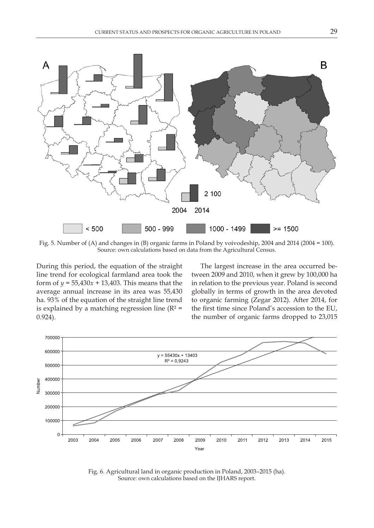

Fig. 5. Number of (A) and changes in (B) organic farms in Poland by voivodeship, 2004 and 2014 (2004 = 100). Source: own calculations based on data from the Agricultural Census.

During this period, the equation of the straight line trend for ecological farmland area took the form of  $y = 55,430x + 13,403$ . This means that the average annual increase in its area was 55,430 ha. 93% of the equation of the straight line trend is explained by a matching regression line ( $R^2$  = 0.924).

The largest increase in the area occurred between 2009 and 2010, when it grew by 100,000 ha in relation to the previous year. Poland is second globally in terms of growth in the area devoted to organic farming (Zegar 2012). After 2014, for the first time since Poland's accession to the EU, the number of organic farms dropped to 23,015



Fig. 6. Agricultural land in organic production in Poland, 2003–2015 (ha). Source: own calculations based on the IJHARS report.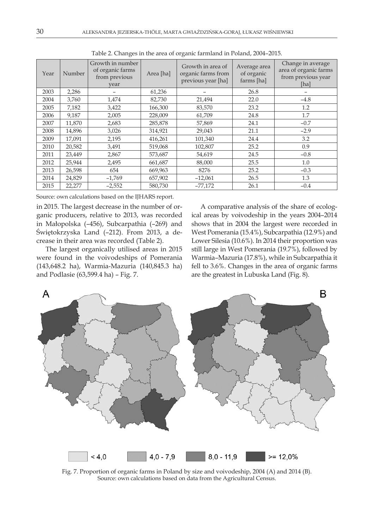| Year | Number | Growth in number<br>of organic farms<br>from previous<br>vear | Area [ha] | Growth in area of<br>organic farms from<br>previous year [ha] | Average area<br>of organic<br>farms [ha] | Change in average<br>area of organic farms<br>from previous year<br>[ha] |
|------|--------|---------------------------------------------------------------|-----------|---------------------------------------------------------------|------------------------------------------|--------------------------------------------------------------------------|
| 2003 | 2,286  |                                                               | 61,236    |                                                               | 26.8                                     |                                                                          |
| 2004 | 3,760  | 1,474                                                         | 82,730    | 21,494                                                        | 22.0                                     | $-4.8$                                                                   |
| 2005 | 7,182  | 3,422                                                         | 166,300   | 83,570                                                        | 23.2                                     | 1.2                                                                      |
| 2006 | 9,187  | 2,005                                                         | 228,009   | 61,709                                                        | 24.8                                     | 1.7                                                                      |
| 2007 | 11,870 | 2,683                                                         | 285,878   | 57,869                                                        | 24.1                                     | $-0.7$                                                                   |
| 2008 | 14,896 | 3,026                                                         | 314,921   | 29,043                                                        | 21.1                                     | $-2.9$                                                                   |
| 2009 | 17,091 | 2,195                                                         | 416,261   | 101,340                                                       | 24.4                                     | 3.2                                                                      |
| 2010 | 20,582 | 3,491                                                         | 519,068   | 102,807                                                       | 25.2                                     | 0.9                                                                      |
| 2011 | 23,449 | 2,867                                                         | 573,687   | 54,619                                                        | 24.5                                     | $-0.8$                                                                   |
| 2012 | 25,944 | 2,495                                                         | 661,687   | 88,000                                                        | 25.5                                     | 1.0                                                                      |
| 2013 | 26,598 | 654                                                           | 669,963   | 8276                                                          | 25.2                                     | $-0.3$                                                                   |
| 2014 | 24,829 | $-1,769$                                                      | 657,902   | $-12,061$                                                     | 26.5                                     | 1.3                                                                      |
| 2015 | 22,277 | $-2,552$                                                      | 580,730   | $-77,172$                                                     | 26.1                                     | $-0.4$                                                                   |

Table 2. Changes in the area of organic farmland in Poland, 2004–2015.

Source: own calculations based on the IJHARS report.

in 2015. The largest decrease in the number of organic producers, relative to 2013, was recorded in Małopolska (–456), Subcarpathia (–269) and Świętokrzyska Land (–212). From 2013, a decrease in their area was recorded (Table 2).

The largest organically utilised areas in 2015 were found in the voivodeships of Pomerania (143,648.2 ha), Warmia-Mazuria (140,845.3 ha) and Podlasie (63,599.4 ha) – Fig. 7.

A comparative analysis of the share of ecological areas by voivodeship in the years 2004–2014 shows that in 2004 the largest were recorded in West Pomerania (15.4%), Subcarpathia (12.9%) and Lower Silesia (10.6%). In 2014 their proportion was still large in West Pomerania (19.7%), followed by Warmia–Mazuria (17.8%), while in Subcarpathia it fell to 3.6%. Changes in the area of organic farms are the greatest in Lubuska Land (Fig. 8).



Fig. 7. Proportion of organic farms in Poland by size and voivodeship, 2004 (A) and 2014 (B). Source: own calculations based on data from the Agricultural Census.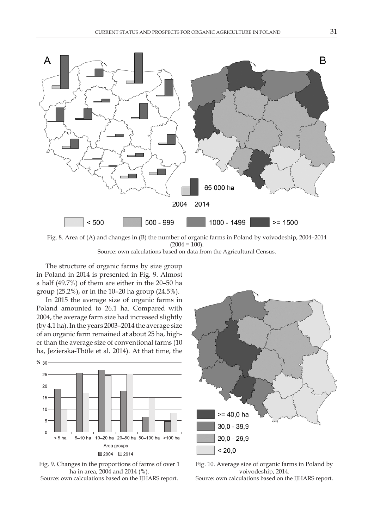

Fig. 8. Area of (A) and changes in (B) the number of organic farms in Poland by voivodeship, 2004–2014  $(2004 = 100)$ . Source: own calculations based on data from the Agricultural Census.

The structure of organic farms by size group in Poland in 2014 is presented in Fig. 9. Almost a half (49.7%) of them are either in the 20–50 ha group (25.2%), or in the 10–20 ha group (24.5%).

In 2015 the average size of organic farms in Poland amounted to 26.1 ha. Compared with 2004, the average farm size had increased slightly (by 4.1 ha). In the years 2003–2014 the average size of an organic farm remained at about 25 ha, higher than the average size of conventional farms (10 ha, Jezierska-Thöle et al. 2014). At that time, the



Fig. 9. Changes in the proportions of farms of over 1 ha in area, 2004 and 2014 (%). Source: own calculations based on the IJHARS report.



Fig. 10. Average size of organic farms in Poland by voivodeship, 2014. Source: own calculations based on the IJHARS report.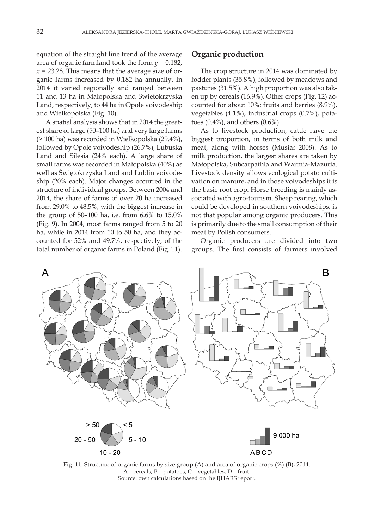equation of the straight line trend of the average area of organic farmland took the form *y* = 0.182,  $x = 23.28$ . This means that the average size of organic farms increased by 0.182 ha annually. In 2014 it varied regionally and ranged between 11 and 13 ha in Małopolska and Świętokrzyska Land, respectively, to 44 ha in Opole voivodeship and Wielkopolska (Fig. 10).

A spatial analysis shows that in 2014 the greatest share of large (50–100 ha) and very large farms (> 100 ha) was recorded in Wielkopolska (29.4%), followed by Opole voivodeship (26.7%), Lubuska Land and Silesia (24% each). A large share of small farms was recorded in Małopolska (40%) as well as Świętokrzyska Land and Lublin voivodeship (20% each). Major changes occurred in the structure of individual groups. Between 2004 and 2014, the share of farms of over 20 ha increased from 29.0% to 48.5%, with the biggest increase in the group of 50–100 ha, i.e. from 6.6% to 15.0% (Fig. 9). In 2004, most farms ranged from 5 to 20 ha, while in 2014 from 10 to 50 ha, and they accounted for 52% and 49.7%, respectively, of the total number of organic farms in Poland (Fig. 11).

#### **Organic production**

The crop structure in 2014 was dominated by fodder plants (35.8%), followed by meadows and pastures (31.5%). A high proportion was also taken up by cereals (16.9%). Other crops (Fig. 12) accounted for about 10%: fruits and berries (8.9%), vegetables (4.1%), industrial crops (0.7%), potatoes (0.4%), and others (0.6%).

As to livestock production, cattle have the biggest proportion, in terms of both milk and meat, along with horses (Musiał 2008). As to milk production, the largest shares are taken by Małopolska, Subcarpathia and Warmia-Mazuria. Livestock density allows ecological potato cultivation on manure, and in those voivodeships it is the basic root crop. Horse breeding is mainly associated with agro-tourism. Sheep rearing, which could be developed in southern voivodeships, is not that popular among organic producers. This is primarily due to the small consumption of their meat by Polish consumers.

Organic producers are divided into two groups. The first consists of farmers involved



Fig. 11. Structure of organic farms by size group (A) and area of organic crops (%) (B), 2014. A – cereals, B – potatoes, C – vegetables, D – fruit. Source: own calculations based on the IJHARS report**.**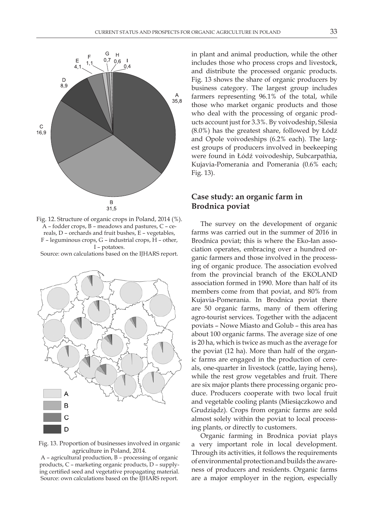

Fig. 12. Structure of organic crops in Poland, 2014 (%). A – fodder crops, B – meadows and pastures, C – cereals, D – orchards and fruit bushes, E – vegetables, F – leguminous crops, G – industrial crops, H – other, I – potatoes.

Source: own calculations based on the IJHARS report.



Fig. 13. Proportion of businesses involved in organic agriculture in Poland, 2014.

A – agricultural production, B – processing of organic products, C – marketing organic products, D – supplying certified seed and vegetative propagating material. Source: own calculations based on the IJHARS report.

in plant and animal production, while the other includes those who process crops and livestock, and distribute the processed organic products. Fig. 13 shows the share of organic producers by business category. The largest group includes farmers representing 96.1% of the total, while those who market organic products and those who deal with the processing of organic products account just for 3.3%. By voivodeship, Silesia (8.0%) has the greatest share, followed by Łódź and Opole voivodeships (6.2% each). The largest groups of producers involved in beekeeping were found in Łódź voivodeship, Subcarpathia, Kujavia-Pomerania and Pomerania (0.6% each; Fig. 13).

### **Case study: an organic farm in Brodnica poviat**

The survey on the development of organic farms was carried out in the summer of 2016 in Brodnica poviat; this is where the Eko-łan association operates, embracing over a hundred organic farmers and those involved in the processing of organic produce. The association evolved from the provincial branch of the EKOLAND association formed in 1990. More than half of its members come from that poviat, and 80% from Kujavia-Pomerania. In Brodnica poviat there are 50 organic farms, many of them offering agro-tourist services. Together with the adjacent poviats – Nowe Miasto and Golub – this area has about 100 organic farms. The average size of one is 20 ha, which is twice as much as the average for the poviat (12 ha). More than half of the organic farms are engaged in the production of cereals, one-quarter in livestock (cattle, laying hens), while the rest grow vegetables and fruit. There are six major plants there processing organic produce. Producers cooperate with two local fruit and vegetable cooling plants (Miesiączkowo and Grudziądz). Crops from organic farms are sold almost solely within the poviat to local processing plants, or directly to customers.

Organic farming in Brodnica poviat plays a very important role in local development. Through its activities, it follows the requirements of environmental protection and builds the awareness of producers and residents. Organic farms are a major employer in the region, especially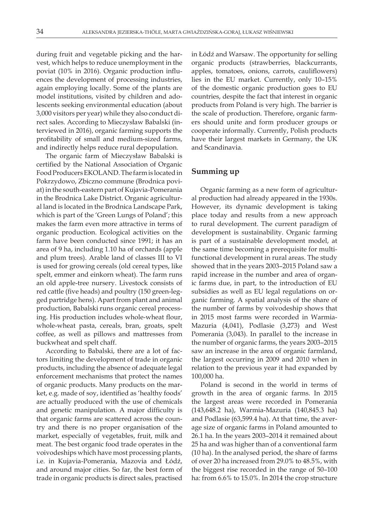during fruit and vegetable picking and the harvest, which helps to reduce unemployment in the poviat (10% in 2016). Organic production influences the development of processing industries, again employing locally. Some of the plants are model institutions, visited by children and adolescents seeking environmental education (about 3,000 visitors per year) while they also conduct direct sales. According to Mieczysław Babalski (interviewed in 2016), organic farming supports the profitability of small and medium-sized farms, and indirectly helps reduce rural depopulation.

The organic farm of Mieczysław Babalski is certified by the National Association of Organic Food Producers EKOLAND. The farm is located in Pokrzydowo, Zbiczno commune (Brodnica poviat) in the south-eastern part of Kujavia-Pomerania in the Brodnica Lake District. Organic agricultural land is located in the Brodnica Landscape Park, which is part of the 'Green Lungs of Poland'; this makes the farm even more attractive in terms of organic production. Ecological activities on the farm have been conducted since 1991; it has an area of 9 ha, including 1.10 ha of orchards (apple and plum trees). Arable land of classes III to VI is used for growing cereals (old cereal types, like spelt, emmer and einkorn wheat). The farm runs an old apple-tree nursery. Livestock consists of red cattle (five heads) and poultry (150 green-legged partridge hens). Apart from plant and animal production, Babalski runs organic cereal processing. His production includes whole-wheat flour, whole-wheat pasta, cereals, bran, groats, spelt coffee, as well as pillows and mattresses from buckwheat and spelt chaff.

According to Babalski, there are a lot of factors limiting the development of trade in organic products, including the absence of adequate legal enforcement mechanisms that protect the names of organic products. Many products on the market, e.g. made of soy, identified as 'healthy foods' are actually produced with the use of chemicals and genetic manipulation. A major difficulty is that organic farms are scattered across the country and there is no proper organisation of the market, especially of vegetables, fruit, milk and meat. The best organic food trade operates in the voivodeships which have most processing plants, i.e. in Kujavia-Pomerania, Mazovia and Łódź, and around major cities. So far, the best form of trade in organic products is direct sales, practised

in Łódź and Warsaw. The opportunity for selling organic products (strawberries, blackcurrants, apples, tomatoes, onions, carrots, cauliflowers) lies in the EU market. Currently, only 10–15% of the domestic organic production goes to EU countries, despite the fact that interest in organic products from Poland is very high. The barrier is the scale of production. Therefore, organic farmers should unite and form producer groups or cooperate informally. Currently, Polish products have their largest markets in Germany, the UK and Scandinavia.

#### **Summing up**

Organic farming as a new form of agricultural production had already appeared in the 1930s. However, its dynamic development is taking place today and results from a new approach to rural development. The current paradigm of development is sustainability. Organic farming is part of a sustainable development model, at the same time becoming a prerequisite for multifunctional development in rural areas. The study showed that in the years 2003–2015 Poland saw a rapid increase in the number and area of organic farms due, in part, to the introduction of EU subsidies as well as EU legal regulations on organic farming. A spatial analysis of the share of the number of farms by voivodeship shows that in 2015 most farms were recorded in Warmia-Mazuria (4,041), Podlasie (3,273) and West Pomerania (3,043). In parallel to the increase in the number of organic farms, the years 2003–2015 saw an increase in the area of organic farmland, the largest occurring in 2009 and 2010 when in relation to the previous year it had expanded by 100,000 ha.

Poland is second in the world in terms of growth in the area of organic farms. In 2015 the largest areas were recorded in Pomerania (143,648.2 ha), Warmia-Mazuria (140,845.3 ha) and Podlasie (63,599.4 ha). At that time, the average size of organic farms in Poland amounted to 26.1 ha. In the years 2003–2014 it remained about 25 ha and was higher than of a conventional farm (10 ha). In the analysed period, the share of farms of over 20 ha increased from 29.0% to 48.5%, with the biggest rise recorded in the range of 50–100 ha: from 6.6% to 15.0%. In 2014 the crop structure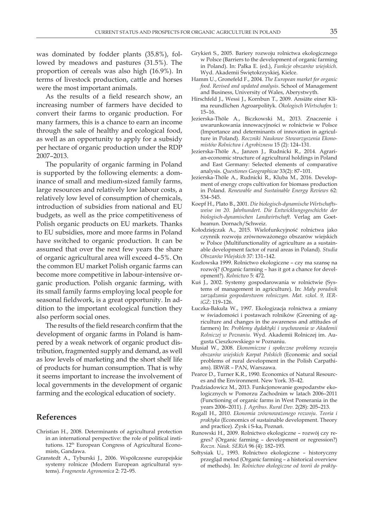was dominated by fodder plants (35.8%), followed by meadows and pastures (31.5%). The proportion of cereals was also high (16.9%). In terms of livestock production, cattle and horses were the most important animals.

As the results of a field research show, an increasing number of farmers have decided to convert their farms to organic production. For many farmers, this is a chance to earn an income through the sale of healthy and ecological food, as well as an opportunity to apply for a subsidy per hectare of organic production under the RDP 2007–2013.

The popularity of organic farming in Poland is supported by the following elements: a dominance of small and medium-sized family farms, large resources and relatively low labour costs, a relatively low level of consumption of chemicals, introduction of subsidies from national and EU budgets, as well as the price competitiveness of Polish organic products on EU markets. Thanks to EU subsidies, more and more farms in Poland have switched to organic production. It can be assumed that over the next few years the share of organic agricultural area will exceed 4–5%. On the common EU market Polish organic farms can become more competitive in labour-intensive organic production. Polish organic farming, with its small family farms employing local people for seasonal fieldwork, is a great opportunity. In addition to the important ecological function they also perform social ones.

The results of the field research confirm that the development of organic farms in Poland is hampered by a weak network of organic product distribution, fragmented supply and demand, as well as low levels of marketing and the short shelf life of products for human consumption. That is why it seems important to increase the involvement of local governments in the development of organic farming and the ecological education of society.

#### **References**

- Christian H., 2008. Determinants of agricultural protection in an international perspective: the role of political institutions. 12<sup>th</sup> European Congress of Agricultural Economists, Gandawa.
- Granstedt A., Tyburski J., 2006. Współczesne europejskie systemy rolnicze (Modern European agricultural systems). *Fragmenta Agronomica* 2: 72–95.
- Grykień S., 2005. Bariery rozwoju rolnictwa ekologicznego w Polsce (Barriers to the development of organic farming in Poland). In: Pałka E. (ed.), *Funkcje obszarów wiejskich*. Wyd. Akademii Świętokrzyskiej, Kielce.
- Hamm U., Gronefeld F., 2004. *The European market for organic food. Revised and updated analysis*. School of Management and Business, University of Wales, Aberystwyth.
- Hirschfeld J., Wessi J., Kornbun T., 2009. Ansiäte einer Klima reundlichen Agroarpolityk. *Ökologisch Wirtschafen* 1: 15–16.
- Jezierska-Thöle A., Biczkowski M., 2013. Znaczenie i uwarunkowania innowacyjności w rolnictwie w Polsce (Importance and determinants of innovation in agriculture in Poland). *Roczniki Naukowe Stowarzyszenia Ekonomistów Rolnictwa i Agrobiznesu* 15 (2): 124–131.
- Jezierska-Thöle A., Janzen J., Rudnicki R., 2014. Agrarian-economic structure of agricultural holdings in Poland and East Germany: Selected elements of comparative analysis. *Questiones Geographicae* 33(2): 87–101.
- Jezierska-Thöle A., Rudnicki R., Kluba M., 2016. Development of energy crops cultivation for biomass production in Poland. *Renewable and Sustainable Energy Reviews* 62: 534–545.
- Koepf H., Plato B., 2001. *Die biologisch-dynamische Wirtschaftsweise im 20. Jahrhundert. Die Entwicklungsgeschichte der biologisch-dynamischen Landwirtschaft.* Verlag am Goetheanun. Dornach/Schweiz.
- Kołodziejczak A., 2015. Wielofunkcyjność rolnictwa jako czynnik rozwoju zrównoważonego obszarów wiejskich w Polsce (Multifunctionality of agriculture as a sustainable development factor of rural areas in Poland). *Studia Obszarów Wiejskich* 37: 131–142.
- Kozłowska 1999. Rolnictwo ekologiczne czy ma szansę na rozwój? (Organic farming – has it got a chance for development?). *Rolnictwo* 5: 472.
- Kuś J., 2002. Systemy gospodarowania w rolnictwie (Systems of management in agriculture). In: *Mały poradnik zarządzania gospodarstwem rolniczym. Mat. szkol. 9, IERiGŻ:* 119–126.
- Łuczka-Bakuła W., 1997. Ekologizacja rolnictwa a zmiany w świadomości i postawach rolników (Greening of agriculture and changes in the awareness and attitudes of farmers) In: *Problemy dydaktyki i wychowania w Akademii Rolniczej w Poznaniu*. Wyd. Akademii Rolniczej im. Augusta Cieszkowskiego w Poznaniu.
- Musiał W., 2008. *Ekonomiczne i społeczne problemy rozwoju obszarów wiejskich Karpat Polskich* (Economic and social problems of rural development in the Polish Carpathians). IRWiR – PAN, Warszawa.
- Pearce D., Turner K.R., 1990. Economics of Natural Resources and the Environment. New York. 35–42.
- Pradziadowicz M., 2013. Funkcjonowanie gospodarstw ekologicznych w Pomorzu Zachodnim w latach 2006–2011 (Functioning of organic farms in West Pomerania in the years 2006–2011). *J. Agribus. Rural Dev.* 2(28): 205–213.
- Rogall H., 2010. *Ekonomia zrównoważonego rozwoju. Teoria i praktyka* (Economics of sustainable development. Theory and practice). Zysk i S-ka, Poznań.
- Runowski H., 2009. Rolnictwo ekologiczne rozwój czy regres? (Organic farming – development or regression?) *Roczn. Nauk. SERiA* 96 (4): 182–193.
- Sołtysiak U., 1993. Rolnictwo ekologiczne historyczny przegląd metod (Organic farming – a historical overview of methods). In: *Rolnictwo ekologiczne od teorii do prakty-*